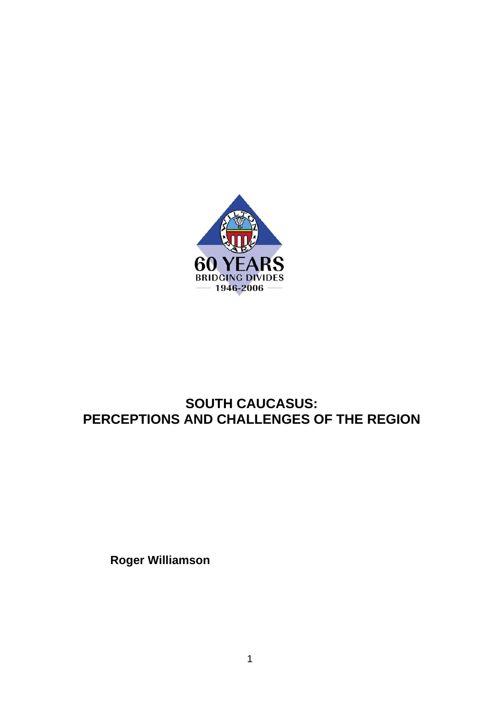

# **SOUTH CAUCASUS: PERCEPTIONS AND CHALLENGES OF THE REGION**

**Roger Williamson**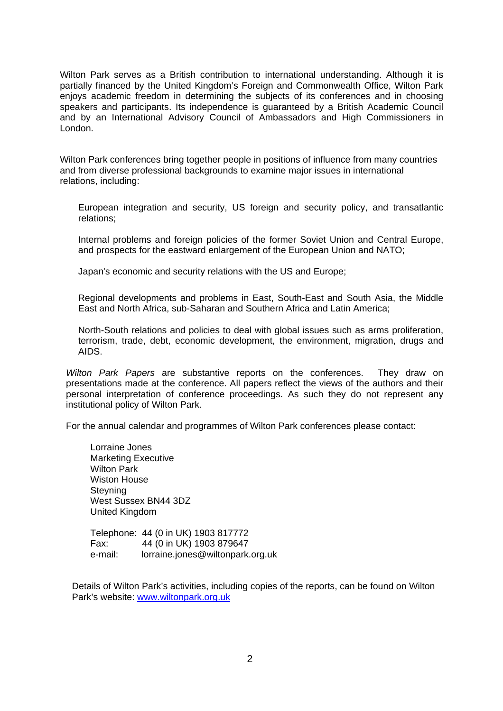Wilton Park serves as a British contribution to international understanding. Although it is partially financed by the United Kingdom's Foreign and Commonwealth Office, Wilton Park enjoys academic freedom in determining the subjects of its conferences and in choosing speakers and participants. Its independence is guaranteed by a British Academic Council and by an International Advisory Council of Ambassadors and High Commissioners in London.

Wilton Park conferences bring together people in positions of influence from many countries and from diverse professional backgrounds to examine major issues in international relations, including:

European integration and security, US foreign and security policy, and transatlantic relations;

Internal problems and foreign policies of the former Soviet Union and Central Europe, and prospects for the eastward enlargement of the European Union and NATO;

Japan's economic and security relations with the US and Europe;

Regional developments and problems in East, South-East and South Asia, the Middle East and North Africa, sub-Saharan and Southern Africa and Latin America;

North-South relations and policies to deal with global issues such as arms proliferation, terrorism, trade, debt, economic development, the environment, migration, drugs and AIDS.

*Wilton Park Papers* are substantive reports on the conferences. They draw on presentations made at the conference. All papers reflect the views of the authors and their personal interpretation of conference proceedings. As such they do not represent any institutional policy of Wilton Park.

For the annual calendar and programmes of Wilton Park conferences please contact:

Lorraine Jones Marketing Executive Wilton Park Wiston House **Steyning** West Sussex BN44 3DZ United Kingdom

Telephone: 44 (0 in UK) 1903 817772 Fax: 44 (0 in UK) 1903 879647 e-mail: lorraine.jones@wiltonpark.org.uk

Details of Wilton Park's activities, including copies of the reports, can be found on Wilton Park's website: [www.wiltonpark.org.uk](http://www.wiltonpark.org.uk/)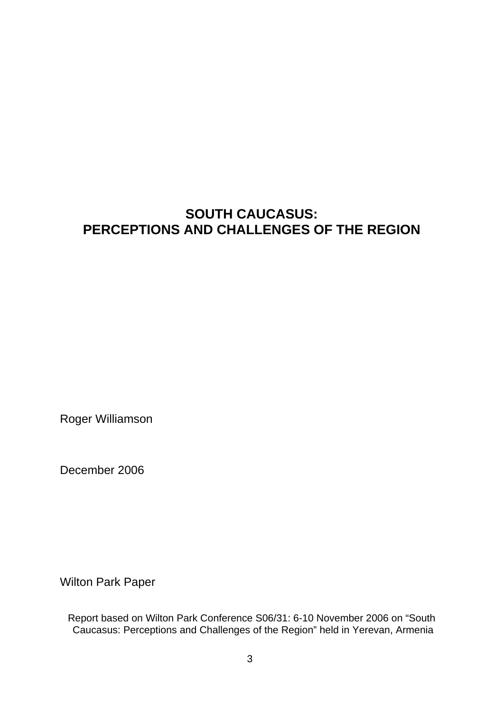# **SOUTH CAUCASUS: PERCEPTIONS AND CHALLENGES OF THE REGION**

Roger Williamson

December 2006

Wilton Park Paper

Report based on Wilton Park Conference S06/31: 6-10 November 2006 on "South Caucasus: Perceptions and Challenges of the Region" held in Yerevan, Armenia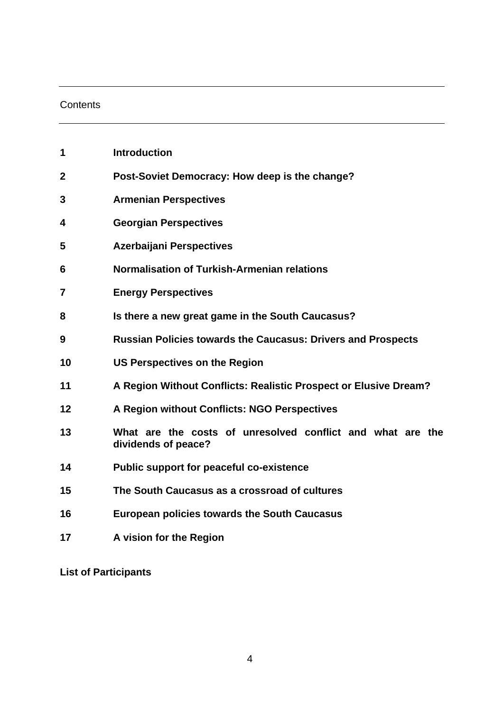### **Contents**

| 1              | <b>Introduction</b>                                                               |
|----------------|-----------------------------------------------------------------------------------|
| $\overline{2}$ | Post-Soviet Democracy: How deep is the change?                                    |
| 3              | <b>Armenian Perspectives</b>                                                      |
| 4              | <b>Georgian Perspectives</b>                                                      |
| 5              | <b>Azerbaijani Perspectives</b>                                                   |
| 6              | <b>Normalisation of Turkish-Armenian relations</b>                                |
| 7              | <b>Energy Perspectives</b>                                                        |
| 8              | Is there a new great game in the South Caucasus?                                  |
| 9              | <b>Russian Policies towards the Caucasus: Drivers and Prospects</b>               |
| 10             | <b>US Perspectives on the Region</b>                                              |
| 11             | A Region Without Conflicts: Realistic Prospect or Elusive Dream?                  |
| 12             | A Region without Conflicts: NGO Perspectives                                      |
| 13             | What are the costs of unresolved conflict and what are the<br>dividends of peace? |
| 14             | <b>Public support for peaceful co-existence</b>                                   |
| 15             | The South Caucasus as a crossroad of cultures                                     |
| 16             | <b>European policies towards the South Caucasus</b>                               |
| 17             | A vision for the Region                                                           |

**List of Participants**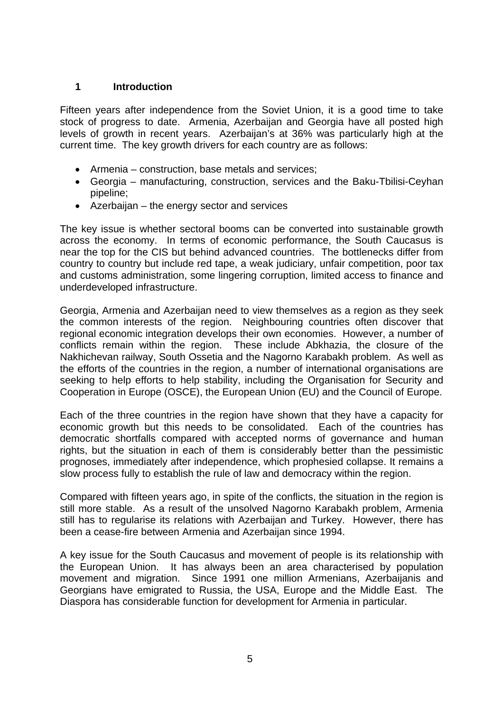#### **1 Introduction**

Fifteen years after independence from the Soviet Union, it is a good time to take stock of progress to date. Armenia, Azerbaijan and Georgia have all posted high levels of growth in recent years. Azerbaijan's at 36% was particularly high at the current time. The key growth drivers for each country are as follows:

- Armenia construction, base metals and services;
- Georgia manufacturing, construction, services and the Baku-Tbilisi-Ceyhan pipeline;
- Azerbaijan the energy sector and services

The key issue is whether sectoral booms can be converted into sustainable growth across the economy. In terms of economic performance, the South Caucasus is near the top for the CIS but behind advanced countries. The bottlenecks differ from country to country but include red tape, a weak judiciary, unfair competition, poor tax and customs administration, some lingering corruption, limited access to finance and underdeveloped infrastructure.

Georgia, Armenia and Azerbaijan need to view themselves as a region as they seek the common interests of the region. Neighbouring countries often discover that regional economic integration develops their own economies. However, a number of conflicts remain within the region. These include Abkhazia, the closure of the Nakhichevan railway, South Ossetia and the Nagorno Karabakh problem. As well as the efforts of the countries in the region, a number of international organisations are seeking to help efforts to help stability, including the Organisation for Security and Cooperation in Europe (OSCE), the European Union (EU) and the Council of Europe.

Each of the three countries in the region have shown that they have a capacity for economic growth but this needs to be consolidated. Each of the countries has democratic shortfalls compared with accepted norms of governance and human rights, but the situation in each of them is considerably better than the pessimistic prognoses, immediately after independence, which prophesied collapse. It remains a slow process fully to establish the rule of law and democracy within the region.

Compared with fifteen years ago, in spite of the conflicts, the situation in the region is still more stable. As a result of the unsolved Nagorno Karabakh problem, Armenia still has to regularise its relations with Azerbaijan and Turkey. However, there has been a cease-fire between Armenia and Azerbaijan since 1994.

A key issue for the South Caucasus and movement of people is its relationship with the European Union. It has always been an area characterised by population movement and migration. Since 1991 one million Armenians, Azerbaijanis and Georgians have emigrated to Russia, the USA, Europe and the Middle East. The Diaspora has considerable function for development for Armenia in particular.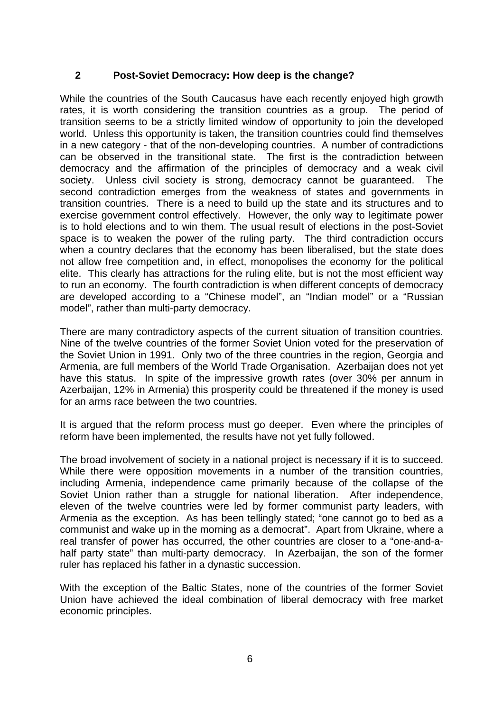### **2 Post-Soviet Democracy: How deep is the change?**

While the countries of the South Caucasus have each recently enjoyed high growth rates, it is worth considering the transition countries as a group. The period of transition seems to be a strictly limited window of opportunity to join the developed world. Unless this opportunity is taken, the transition countries could find themselves in a new category - that of the non-developing countries. A number of contradictions can be observed in the transitional state. The first is the contradiction between democracy and the affirmation of the principles of democracy and a weak civil society. Unless civil society is strong, democracy cannot be guaranteed. The second contradiction emerges from the weakness of states and governments in transition countries. There is a need to build up the state and its structures and to exercise government control effectively. However, the only way to legitimate power is to hold elections and to win them. The usual result of elections in the post-Soviet space is to weaken the power of the ruling party. The third contradiction occurs when a country declares that the economy has been liberalised, but the state does not allow free competition and, in effect, monopolises the economy for the political elite. This clearly has attractions for the ruling elite, but is not the most efficient way to run an economy. The fourth contradiction is when different concepts of democracy are developed according to a "Chinese model", an "Indian model" or a "Russian model", rather than multi-party democracy.

There are many contradictory aspects of the current situation of transition countries. Nine of the twelve countries of the former Soviet Union voted for the preservation of the Soviet Union in 1991. Only two of the three countries in the region, Georgia and Armenia, are full members of the World Trade Organisation. Azerbaijan does not yet have this status. In spite of the impressive growth rates (over 30% per annum in Azerbaijan, 12% in Armenia) this prosperity could be threatened if the money is used for an arms race between the two countries.

It is argued that the reform process must go deeper. Even where the principles of reform have been implemented, the results have not yet fully followed.

The broad involvement of society in a national project is necessary if it is to succeed. While there were opposition movements in a number of the transition countries, including Armenia, independence came primarily because of the collapse of the Soviet Union rather than a struggle for national liberation. After independence, eleven of the twelve countries were led by former communist party leaders, with Armenia as the exception. As has been tellingly stated; "one cannot go to bed as a communist and wake up in the morning as a democrat". Apart from Ukraine, where a real transfer of power has occurred, the other countries are closer to a "one-and-ahalf party state" than multi-party democracy. In Azerbaijan, the son of the former ruler has replaced his father in a dynastic succession.

With the exception of the Baltic States, none of the countries of the former Soviet Union have achieved the ideal combination of liberal democracy with free market economic principles.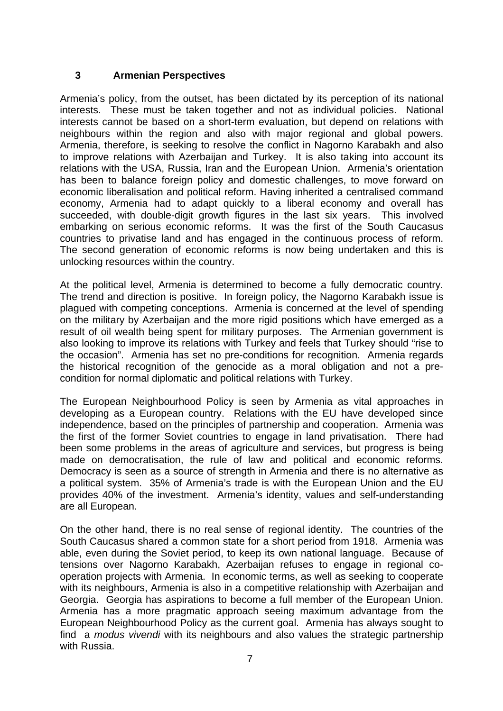#### **3 Armenian Perspectives**

Armenia's policy, from the outset, has been dictated by its perception of its national interests. These must be taken together and not as individual policies. National interests cannot be based on a short-term evaluation, but depend on relations with neighbours within the region and also with major regional and global powers. Armenia, therefore, is seeking to resolve the conflict in Nagorno Karabakh and also to improve relations with Azerbaijan and Turkey. It is also taking into account its relations with the USA, Russia, Iran and the European Union. Armenia's orientation has been to balance foreign policy and domestic challenges, to move forward on economic liberalisation and political reform. Having inherited a centralised command economy, Armenia had to adapt quickly to a liberal economy and overall has succeeded, with double-digit growth figures in the last six years. This involved embarking on serious economic reforms. It was the first of the South Caucasus countries to privatise land and has engaged in the continuous process of reform. The second generation of economic reforms is now being undertaken and this is unlocking resources within the country.

At the political level, Armenia is determined to become a fully democratic country. The trend and direction is positive. In foreign policy, the Nagorno Karabakh issue is plagued with competing conceptions. Armenia is concerned at the level of spending on the military by Azerbaijan and the more rigid positions which have emerged as a result of oil wealth being spent for military purposes. The Armenian government is also looking to improve its relations with Turkey and feels that Turkey should "rise to the occasion". Armenia has set no pre-conditions for recognition. Armenia regards the historical recognition of the genocide as a moral obligation and not a precondition for normal diplomatic and political relations with Turkey.

The European Neighbourhood Policy is seen by Armenia as vital approaches in developing as a European country. Relations with the EU have developed since independence, based on the principles of partnership and cooperation. Armenia was the first of the former Soviet countries to engage in land privatisation. There had been some problems in the areas of agriculture and services, but progress is being made on democratisation, the rule of law and political and economic reforms. Democracy is seen as a source of strength in Armenia and there is no alternative as a political system. 35% of Armenia's trade is with the European Union and the EU provides 40% of the investment. Armenia's identity, values and self-understanding are all European.

On the other hand, there is no real sense of regional identity. The countries of the South Caucasus shared a common state for a short period from 1918. Armenia was able, even during the Soviet period, to keep its own national language. Because of tensions over Nagorno Karabakh, Azerbaijan refuses to engage in regional cooperation projects with Armenia. In economic terms, as well as seeking to cooperate with its neighbours, Armenia is also in a competitive relationship with Azerbaijan and Georgia. Georgia has aspirations to become a full member of the European Union. Armenia has a more pragmatic approach seeing maximum advantage from the European Neighbourhood Policy as the current goal. Armenia has always sought to find a *modus vivendi* with its neighbours and also values the strategic partnership with Russia.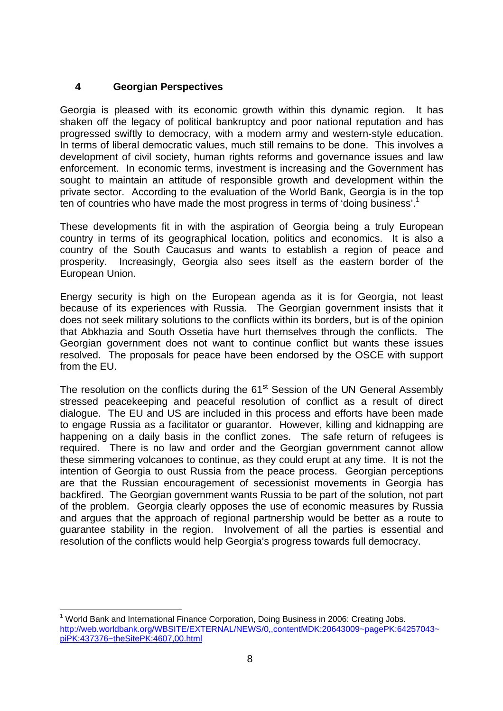# **4 Georgian Perspectives**

Georgia is pleased with its economic growth within this dynamic region. It has shaken off the legacy of political bankruptcy and poor national reputation and has progressed swiftly to democracy, with a modern army and western-style education. In terms of liberal democratic values, much still remains to be done. This involves a development of civil society, human rights reforms and governance issues and law enforcement. In economic terms, investment is increasing and the Government has sought to maintain an attitude of responsible growth and development within the private sector. According to the evaluation of the World Bank, Georgia is in the top ten of countries who have made the most progress in terms of 'doing business'.<sup>[1](#page-7-0)</sup>

These developments fit in with the aspiration of Georgia being a truly European country in terms of its geographical location, politics and economics. It is also a country of the South Caucasus and wants to establish a region of peace and prosperity. Increasingly, Georgia also sees itself as the eastern border of the European Union.

Energy security is high on the European agenda as it is for Georgia, not least because of its experiences with Russia. The Georgian government insists that it does not seek military solutions to the conflicts within its borders, but is of the opinion that Abkhazia and South Ossetia have hurt themselves through the conflicts. The Georgian government does not want to continue conflict but wants these issues resolved. The proposals for peace have been endorsed by the OSCE with support from the EU.

The resolution on the conflicts during the 61<sup>st</sup> Session of the UN General Assembly stressed peacekeeping and peaceful resolution of conflict as a result of direct dialogue. The EU and US are included in this process and efforts have been made to engage Russia as a facilitator or guarantor. However, killing and kidnapping are happening on a daily basis in the conflict zones. The safe return of refugees is required. There is no law and order and the Georgian government cannot allow these simmering volcanoes to continue, as they could erupt at any time. It is not the intention of Georgia to oust Russia from the peace process. Georgian perceptions are that the Russian encouragement of secessionist movements in Georgia has backfired. The Georgian government wants Russia to be part of the solution, not part of the problem. Georgia clearly opposes the use of economic measures by Russia and argues that the approach of regional partnership would be better as a route to guarantee stability in the region. Involvement of all the parties is essential and resolution of the conflicts would help Georgia's progress towards full democracy.

<span id="page-7-0"></span>l <sup>1</sup> World Bank and International Finance Corporation, Doing Business in 2006: Creating Jobs. [http://web.worldbank.org/WBSITE/EXTERNAL/NEWS/0,,contentMDK:20643009~pagePK:64257043~](http://web.worldbank.org/WBSITE/EXTERNAL/NEWS/0,,contentMDK:20643009~pagePK:64257043~piPK:437376~theSitePK:4607,00.html) [piPK:437376~theSitePK:4607,00.html](http://web.worldbank.org/WBSITE/EXTERNAL/NEWS/0,,contentMDK:20643009~pagePK:64257043~piPK:437376~theSitePK:4607,00.html)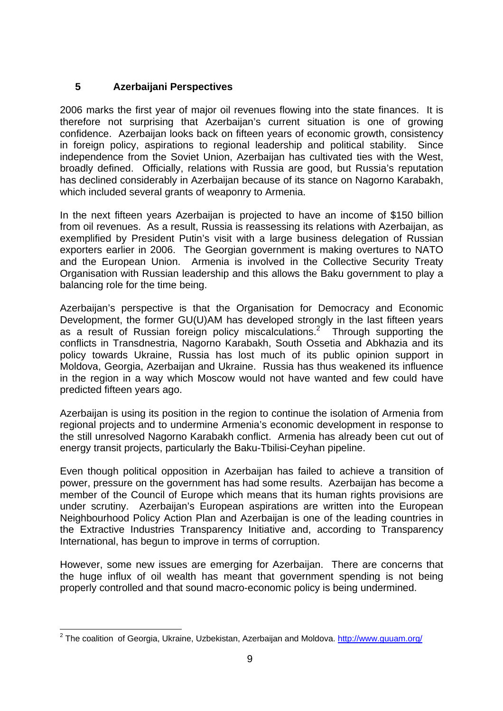# **5 Azerbaijani Perspectives**

2006 marks the first year of major oil revenues flowing into the state finances. It is therefore not surprising that Azerbaijan's current situation is one of growing confidence. Azerbaijan looks back on fifteen years of economic growth, consistency in foreign policy, aspirations to regional leadership and political stability. Since independence from the Soviet Union, Azerbaijan has cultivated ties with the West, broadly defined. Officially, relations with Russia are good, but Russia's reputation has declined considerably in Azerbaijan because of its stance on Nagorno Karabakh, which included several grants of weaponry to Armenia.

In the next fifteen years Azerbaijan is projected to have an income of \$150 billion from oil revenues. As a result, Russia is reassessing its relations with Azerbaijan, as exemplified by President Putin's visit with a large business delegation of Russian exporters earlier in 2006. The Georgian government is making overtures to NATO and the European Union. Armenia is involved in the Collective Security Treaty Organisation with Russian leadership and this allows the Baku government to play a balancing role for the time being.

Azerbaijan's perspective is that the Organisation for Democracy and Economic Development, the former GU(U)AM has developed strongly in the last fifteen years asa result of Russian foreign policy miscalculations.<sup>2</sup> Through supporting the conflicts in Transdnestria, Nagorno Karabakh, South Ossetia and Abkhazia and its policy towards Ukraine, Russia has lost much of its public opinion support in Moldova, Georgia, Azerbaijan and Ukraine. Russia has thus weakened its influence in the region in a way which Moscow would not have wanted and few could have predicted fifteen years ago.

Azerbaijan is using its position in the region to continue the isolation of Armenia from regional projects and to undermine Armenia's economic development in response to the still unresolved Nagorno Karabakh conflict. Armenia has already been cut out of energy transit projects, particularly the Baku-Tbilisi-Ceyhan pipeline.

Even though political opposition in Azerbaijan has failed to achieve a transition of power, pressure on the government has had some results. Azerbaijan has become a member of the Council of Europe which means that its human rights provisions are under scrutiny. Azerbaijan's European aspirations are written into the European Neighbourhood Policy Action Plan and Azerbaijan is one of the leading countries in the Extractive Industries Transparency Initiative and, according to Transparency International, has begun to improve in terms of corruption.

However, some new issues are emerging for Azerbaijan. There are concerns that the huge influx of oil wealth has meant that government spending is not being properly controlled and that sound macro-economic policy is being undermined.

<span id="page-8-0"></span>l <sup>2</sup> The coalition of Georgia, Ukraine, Uzbekistan, Azerbaijan and Moldova. <http://www.guuam.org/>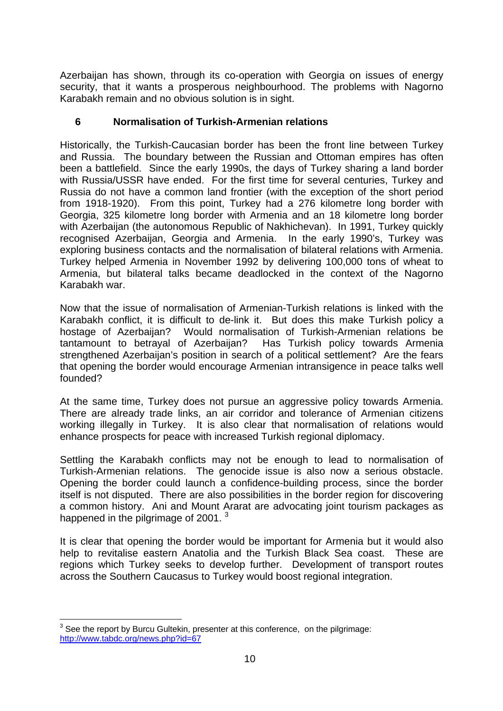Azerbaijan has shown, through its co-operation with Georgia on issues of energy security, that it wants a prosperous neighbourhood. The problems with Nagorno Karabakh remain and no obvious solution is in sight.

### **6 Normalisation of Turkish-Armenian relations**

Historically, the Turkish-Caucasian border has been the front line between Turkey and Russia. The boundary between the Russian and Ottoman empires has often been a battlefield. Since the early 1990s, the days of Turkey sharing a land border with Russia/USSR have ended. For the first time for several centuries, Turkey and Russia do not have a common land frontier (with the exception of the short period from 1918-1920). From this point, Turkey had a 276 kilometre long border with Georgia, 325 kilometre long border with Armenia and an 18 kilometre long border with Azerbaijan (the autonomous Republic of Nakhichevan). In 1991, Turkey quickly recognised Azerbaijan, Georgia and Armenia. In the early 1990's, Turkey was exploring business contacts and the normalisation of bilateral relations with Armenia. Turkey helped Armenia in November 1992 by delivering 100,000 tons of wheat to Armenia, but bilateral talks became deadlocked in the context of the Nagorno Karabakh war.

Now that the issue of normalisation of Armenian-Turkish relations is linked with the Karabakh conflict, it is difficult to de-link it. But does this make Turkish policy a hostage of Azerbaijan? Would normalisation of Turkish-Armenian relations be tantamount to betrayal of Azerbaijan? Has Turkish policy towards Armenia strengthened Azerbaijan's position in search of a political settlement? Are the fears that opening the border would encourage Armenian intransigence in peace talks well founded?

At the same time, Turkey does not pursue an aggressive policy towards Armenia. There are already trade links, an air corridor and tolerance of Armenian citizens working illegally in Turkey. It is also clear that normalisation of relations would enhance prospects for peace with increased Turkish regional diplomacy.

Settling the Karabakh conflicts may not be enough to lead to normalisation of Turkish-Armenian relations. The genocide issue is also now a serious obstacle. Opening the border could launch a confidence-building process, since the border itself is not disputed. There are also possibilities in the border region for discovering a common history. Ani and Mount Ararat are advocating joint tourism packages as happened in the pilgrimage of 2001.<sup>[3](#page-9-0)</sup>

It is clear that opening the border would be important for Armenia but it would also help to revitalise eastern Anatolia and the Turkish Black Sea coast. These are regions which Turkey seeks to develop further. Development of transport routes across the Southern Caucasus to Turkey would boost regional integration.

<span id="page-9-0"></span>**ENEVALLE 13**<br><sup>3</sup> See the report by Burcu Gultekin, presenter at this conference, on the pilgrimage: <http://www.tabdc.org/news.php?id=67>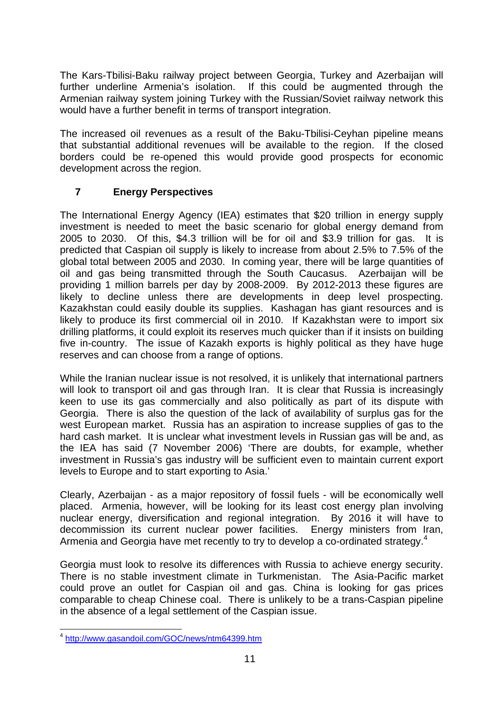The Kars-Tbilisi-Baku railway project between Georgia, Turkey and Azerbaijan will further underline Armenia's isolation. If this could be augmented through the Armenian railway system joining Turkey with the Russian/Soviet railway network this would have a further benefit in terms of transport integration.

The increased oil revenues as a result of the Baku-Tbilisi-Ceyhan pipeline means that substantial additional revenues will be available to the region. If the closed borders could be re-opened this would provide good prospects for economic development across the region.

# **7 Energy Perspectives**

The International Energy Agency (IEA) estimates that \$20 trillion in energy supply investment is needed to meet the basic scenario for global energy demand from 2005 to 2030. Of this, \$4.3 trillion will be for oil and \$3.9 trillion for gas. It is predicted that Caspian oil supply is likely to increase from about 2.5% to 7.5% of the global total between 2005 and 2030. In coming year, there will be large quantities of oil and gas being transmitted through the South Caucasus. Azerbaijan will be providing 1 million barrels per day by 2008-2009. By 2012-2013 these figures are likely to decline unless there are developments in deep level prospecting. Kazakhstan could easily double its supplies. Kashagan has giant resources and is likely to produce its first commercial oil in 2010. If Kazakhstan were to import six drilling platforms, it could exploit its reserves much quicker than if it insists on building five in-country. The issue of Kazakh exports is highly political as they have huge reserves and can choose from a range of options.

While the Iranian nuclear issue is not resolved, it is unlikely that international partners will look to transport oil and gas through Iran. It is clear that Russia is increasingly keen to use its gas commercially and also politically as part of its dispute with Georgia. There is also the question of the lack of availability of surplus gas for the west European market. Russia has an aspiration to increase supplies of gas to the hard cash market. It is unclear what investment levels in Russian gas will be and, as the IEA has said (7 November 2006) 'There are doubts, for example, whether investment in Russia's gas industry will be sufficient even to maintain current export levels to Europe and to start exporting to Asia.'

Clearly, Azerbaijan - as a major repository of fossil fuels - will be economically well placed. Armenia, however, will be looking for its least cost energy plan involving nuclear energy, diversification and regional integration. By 2016 it will have to decommission its current nuclear power facilities. Energy ministers from Iran, Armeniaand Georgia have met recently to try to develop a co-ordinated strategy.<sup>4</sup>

Georgia must look to resolve its differences with Russia to achieve energy security. There is no stable investment climate in Turkmenistan. The Asia-Pacific market could prove an outlet for Caspian oil and gas. China is looking for gas prices comparable to cheap Chinese coal. There is unlikely to be a trans-Caspian pipeline in the absence of a legal settlement of the Caspian issue.

<span id="page-10-0"></span>l <sup>4</sup> <http://www.gasandoil.com/GOC/news/ntm64399.htm>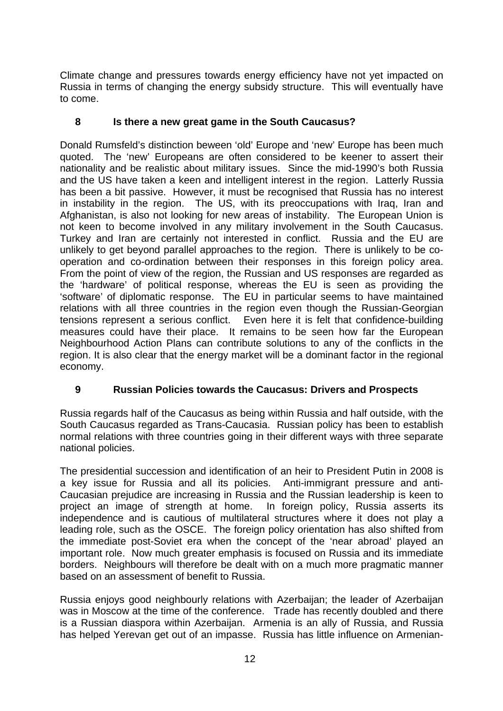Climate change and pressures towards energy efficiency have not yet impacted on Russia in terms of changing the energy subsidy structure. This will eventually have to come.

# **8 Is there a new great game in the South Caucasus?**

Donald Rumsfeld's distinction beween 'old' Europe and 'new' Europe has been much quoted. The 'new' Europeans are often considered to be keener to assert their nationality and be realistic about military issues. Since the mid-1990's both Russia and the US have taken a keen and intelligent interest in the region. Latterly Russia has been a bit passive. However, it must be recognised that Russia has no interest in instability in the region. The US, with its preoccupations with Iraq, Iran and Afghanistan, is also not looking for new areas of instability. The European Union is not keen to become involved in any military involvement in the South Caucasus. Turkey and Iran are certainly not interested in conflict. Russia and the EU are unlikely to get beyond parallel approaches to the region. There is unlikely to be cooperation and co-ordination between their responses in this foreign policy area. From the point of view of the region, the Russian and US responses are regarded as the 'hardware' of political response, whereas the EU is seen as providing the 'software' of diplomatic response. The EU in particular seems to have maintained relations with all three countries in the region even though the Russian-Georgian tensions represent a serious conflict. Even here it is felt that confidence-building measures could have their place. It remains to be seen how far the European Neighbourhood Action Plans can contribute solutions to any of the conflicts in the region. It is also clear that the energy market will be a dominant factor in the regional economy.

# **9 Russian Policies towards the Caucasus: Drivers and Prospects**

Russia regards half of the Caucasus as being within Russia and half outside, with the South Caucasus regarded as Trans-Caucasia. Russian policy has been to establish normal relations with three countries going in their different ways with three separate national policies.

The presidential succession and identification of an heir to President Putin in 2008 is a key issue for Russia and all its policies. Anti-immigrant pressure and anti-Caucasian prejudice are increasing in Russia and the Russian leadership is keen to project an image of strength at home. In foreign policy, Russia asserts its independence and is cautious of multilateral structures where it does not play a leading role, such as the OSCE. The foreign policy orientation has also shifted from the immediate post-Soviet era when the concept of the 'near abroad' played an important role. Now much greater emphasis is focused on Russia and its immediate borders. Neighbours will therefore be dealt with on a much more pragmatic manner based on an assessment of benefit to Russia.

Russia enjoys good neighbourly relations with Azerbaijan; the leader of Azerbaijan was in Moscow at the time of the conference. Trade has recently doubled and there is a Russian diaspora within Azerbaijan. Armenia is an ally of Russia, and Russia has helped Yerevan get out of an impasse. Russia has little influence on Armenian-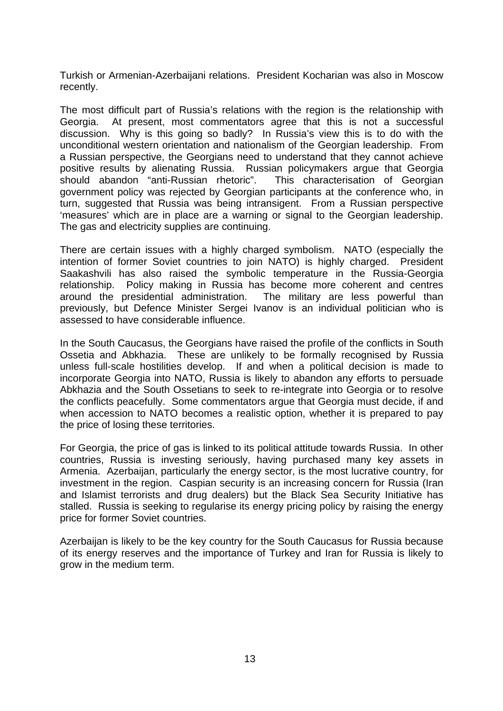Turkish or Armenian-Azerbaijani relations. President Kocharian was also in Moscow recently.

The most difficult part of Russia's relations with the region is the relationship with Georgia. At present, most commentators agree that this is not a successful discussion. Why is this going so badly? In Russia's view this is to do with the unconditional western orientation and nationalism of the Georgian leadership. From a Russian perspective, the Georgians need to understand that they cannot achieve positive results by alienating Russia. Russian policymakers argue that Georgia should abandon "anti-Russian rhetoric". This characterisation of Georgian government policy was rejected by Georgian participants at the conference who, in turn, suggested that Russia was being intransigent. From a Russian perspective 'measures' which are in place are a warning or signal to the Georgian leadership. The gas and electricity supplies are continuing.

There are certain issues with a highly charged symbolism. NATO (especially the intention of former Soviet countries to join NATO) is highly charged. President Saakashvili has also raised the symbolic temperature in the Russia-Georgia relationship. Policy making in Russia has become more coherent and centres around the presidential administration. The military are less powerful than previously, but Defence Minister Sergei Ivanov is an individual politician who is assessed to have considerable influence.

In the South Caucasus, the Georgians have raised the profile of the conflicts in South Ossetia and Abkhazia. These are unlikely to be formally recognised by Russia unless full-scale hostilities develop. If and when a political decision is made to incorporate Georgia into NATO, Russia is likely to abandon any efforts to persuade Abkhazia and the South Ossetians to seek to re-integrate into Georgia or to resolve the conflicts peacefully. Some commentators argue that Georgia must decide, if and when accession to NATO becomes a realistic option, whether it is prepared to pay the price of losing these territories.

For Georgia, the price of gas is linked to its political attitude towards Russia. In other countries, Russia is investing seriously, having purchased many key assets in Armenia. Azerbaijan, particularly the energy sector, is the most lucrative country, for investment in the region. Caspian security is an increasing concern for Russia (Iran and Islamist terrorists and drug dealers) but the Black Sea Security Initiative has stalled. Russia is seeking to regularise its energy pricing policy by raising the energy price for former Soviet countries.

Azerbaijan is likely to be the key country for the South Caucasus for Russia because of its energy reserves and the importance of Turkey and Iran for Russia is likely to grow in the medium term.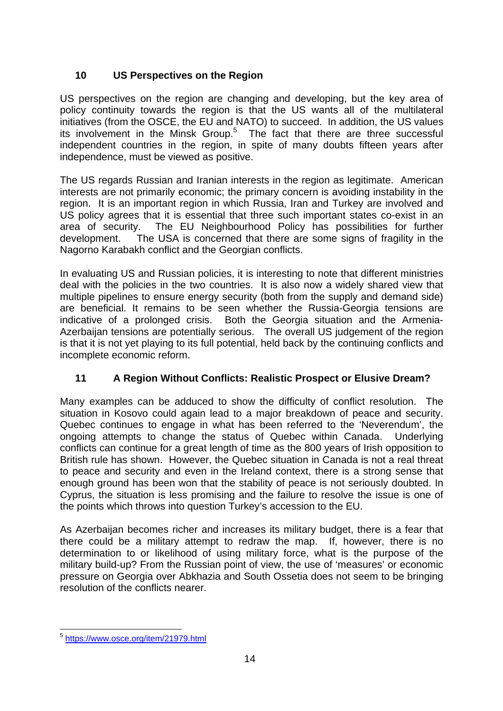# **10 US Perspectives on the Region**

US perspectives on the region are changing and developing, but the key area of policy continuity towards the region is that the US wants all of the multilateral initiatives (from the OSCE, the EU and NATO) to succeed. In addition, the US values its involvement in the Minsk Group.<sup>[5](#page-13-0)</sup> The fact that there are three successful independent countries in the region, in spite of many doubts fifteen years after independence, must be viewed as positive.

The US regards Russian and Iranian interests in the region as legitimate. American interests are not primarily economic; the primary concern is avoiding instability in the region. It is an important region in which Russia, Iran and Turkey are involved and US policy agrees that it is essential that three such important states co-exist in an area of security. The EU Neighbourhood Policy has possibilities for further development. The USA is concerned that there are some signs of fragility in the Nagorno Karabakh conflict and the Georgian conflicts.

In evaluating US and Russian policies, it is interesting to note that different ministries deal with the policies in the two countries. It is also now a widely shared view that multiple pipelines to ensure energy security (both from the supply and demand side) are beneficial. It remains to be seen whether the Russia-Georgia tensions are indicative of a prolonged crisis. Both the Georgia situation and the Armenia-Azerbaijan tensions are potentially serious. The overall US judgement of the region is that it is not yet playing to its full potential, held back by the continuing conflicts and incomplete economic reform.

# **11 A Region Without Conflicts: Realistic Prospect or Elusive Dream?**

Many examples can be adduced to show the difficulty of conflict resolution. The situation in Kosovo could again lead to a major breakdown of peace and security. Quebec continues to engage in what has been referred to the 'Neverendum', the ongoing attempts to change the status of Quebec within Canada. Underlying conflicts can continue for a great length of time as the 800 years of Irish opposition to British rule has shown. However, the Quebec situation in Canada is not a real threat to peace and security and even in the Ireland context, there is a strong sense that enough ground has been won that the stability of peace is not seriously doubted. In Cyprus, the situation is less promising and the failure to resolve the issue is one of the points which throws into question Turkey's accession to the EU.

As Azerbaijan becomes richer and increases its military budget, there is a fear that there could be a military attempt to redraw the map. If, however, there is no determination to or likelihood of using military force, what is the purpose of the military build-up? From the Russian point of view, the use of 'measures' or economic pressure on Georgia over Abkhazia and South Ossetia does not seem to be bringing resolution of the conflicts nearer.

<span id="page-13-0"></span>l <sup>5</sup> <https://www.osce.org/item/21979.html>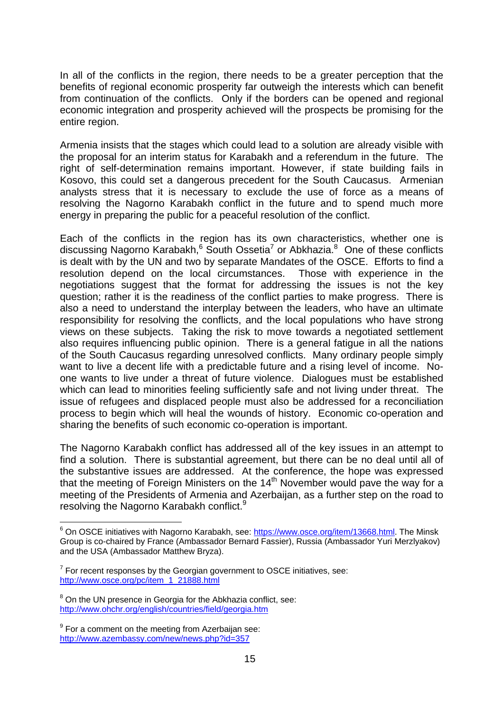In all of the conflicts in the region, there needs to be a greater perception that the benefits of regional economic prosperity far outweigh the interests which can benefit from continuation of the conflicts. Only if the borders can be opened and regional economic integration and prosperity achieved will the prospects be promising for the entire region.

Armenia insists that the stages which could lead to a solution are already visible with the proposal for an interim status for Karabakh and a referendum in the future. The right of self-determination remains important. However, if state building fails in Kosovo, this could set a dangerous precedent for the South Caucasus. Armenian analysts stress that it is necessary to exclude the use of force as a means of resolving the Nagorno Karabakh conflict in the future and to spend much more energy in preparing the public for a peaceful resolution of the conflict.

Each of the conflicts in the region has its own characteristics, whether one is discussing Nagorno Karabakh, <sup>[6](#page-14-0)</sup> South Ossetia<sup>7</sup> [o](#page-14-1)rAbkhazia.<sup>8</sup> One of these conflicts is dealt with by the UN and two by separate Mandates of the OSCE. Efforts to find a resolution depend on the local circumstances. Those with experience in the negotiations suggest that the format for addressing the issues is not the key question; rather it is the readiness of the conflict parties to make progress. There is also a need to understand the interplay between the leaders, who have an ultimate responsibility for resolving the conflicts, and the local populations who have strong views on these subjects. Taking the risk to move towards a negotiated settlement also requires influencing public opinion. There is a general fatigue in all the nations of the South Caucasus regarding unresolved conflicts. Many ordinary people simply want to live a decent life with a predictable future and a rising level of income. Noone wants to live under a threat of future violence. Dialogues must be established which can lead to minorities feeling sufficiently safe and not living under threat. The issue of refugees and displaced people must also be addressed for a reconciliation process to begin which will heal the wounds of history. Economic co-operation and sharing the benefits of such economic co-operation is important.

The Nagorno Karabakh conflict has addressed all of the key issues in an attempt to find a solution. There is substantial agreement, but there can be no deal until all of the substantive issues are addressed. At the conference, the hope was expressed that the meeting of Foreign Ministers on the  $14<sup>th</sup>$  November would pave the way for a meeting of the Presidents of Armenia and Azerbaijan, as a further step on the road to resolving the Nagorno Karabakh conflict.<sup>[9](#page-14-3)</sup>

l

<span id="page-14-0"></span><sup>&</sup>lt;sup>6</sup> On OSCE initiatives with Nagorno Karabakh, see: [https://www.osce.org/item/13668.html.](https://www.osce.org/item/13668.html) The Minsk Group is co-chaired by France (Ambassador Bernard Fassier), Russia (Ambassador Yuri Merzlyakov) and the USA (Ambassador Matthew Bryza).

<span id="page-14-1"></span> $7$  For recent responses by the Georgian government to OSCE initiatives, see: [http://www.osce.org/pc/item\\_1\\_21888.html](http://www.osce.org/pc/item_1_21888.html)

<span id="page-14-2"></span><sup>&</sup>lt;sup>8</sup> On the UN presence in Georgia for the Abkhazia conflict, see: <http://www.ohchr.org/english/countries/field/georgia.htm>

<span id="page-14-3"></span> $9$  For a comment on the meeting from Azerbaijan see: <http://www.azembassy.com/new/news.php?id=357>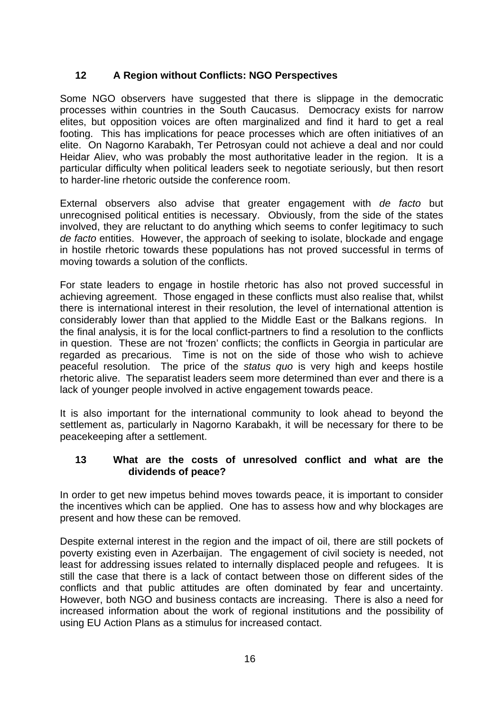# **12 A Region without Conflicts: NGO Perspectives**

Some NGO observers have suggested that there is slippage in the democratic processes within countries in the South Caucasus. Democracy exists for narrow elites, but opposition voices are often marginalized and find it hard to get a real footing. This has implications for peace processes which are often initiatives of an elite. On Nagorno Karabakh, Ter Petrosyan could not achieve a deal and nor could Heidar Aliev, who was probably the most authoritative leader in the region. It is a particular difficulty when political leaders seek to negotiate seriously, but then resort to harder-line rhetoric outside the conference room.

External observers also advise that greater engagement with *de facto* but unrecognised political entities is necessary. Obviously, from the side of the states involved, they are reluctant to do anything which seems to confer legitimacy to such *de facto* entities. However, the approach of seeking to isolate, blockade and engage in hostile rhetoric towards these populations has not proved successful in terms of moving towards a solution of the conflicts.

For state leaders to engage in hostile rhetoric has also not proved successful in achieving agreement. Those engaged in these conflicts must also realise that, whilst there is international interest in their resolution, the level of international attention is considerably lower than that applied to the Middle East or the Balkans regions. In the final analysis, it is for the local conflict-partners to find a resolution to the conflicts in question. These are not 'frozen' conflicts; the conflicts in Georgia in particular are regarded as precarious. Time is not on the side of those who wish to achieve peaceful resolution. The price of the *status quo* is very high and keeps hostile rhetoric alive. The separatist leaders seem more determined than ever and there is a lack of younger people involved in active engagement towards peace.

It is also important for the international community to look ahead to beyond the settlement as, particularly in Nagorno Karabakh, it will be necessary for there to be peacekeeping after a settlement.

#### **13 What are the costs of unresolved conflict and what are the dividends of peace?**

In order to get new impetus behind moves towards peace, it is important to consider the incentives which can be applied. One has to assess how and why blockages are present and how these can be removed.

Despite external interest in the region and the impact of oil, there are still pockets of poverty existing even in Azerbaijan. The engagement of civil society is needed, not least for addressing issues related to internally displaced people and refugees. It is still the case that there is a lack of contact between those on different sides of the conflicts and that public attitudes are often dominated by fear and uncertainty. However, both NGO and business contacts are increasing. There is also a need for increased information about the work of regional institutions and the possibility of using EU Action Plans as a stimulus for increased contact.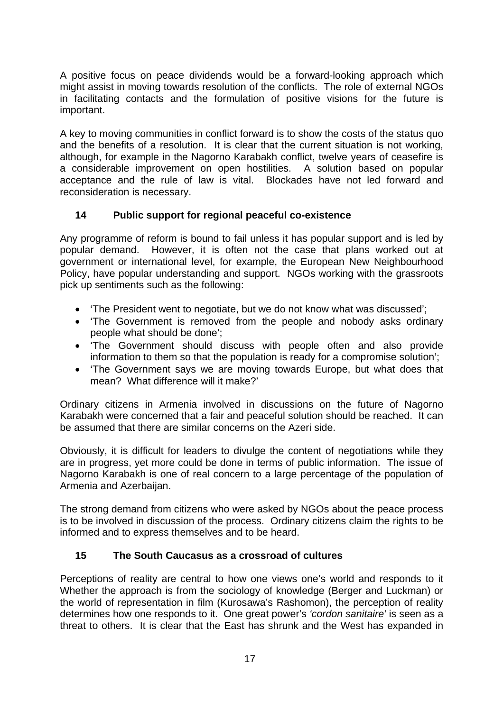A positive focus on peace dividends would be a forward-looking approach which might assist in moving towards resolution of the conflicts. The role of external NGOs in facilitating contacts and the formulation of positive visions for the future is important.

A key to moving communities in conflict forward is to show the costs of the status quo and the benefits of a resolution. It is clear that the current situation is not working, although, for example in the Nagorno Karabakh conflict, twelve years of ceasefire is a considerable improvement on open hostilities. A solution based on popular acceptance and the rule of law is vital. Blockades have not led forward and reconsideration is necessary.

# **14 Public support for regional peaceful co-existence**

Any programme of reform is bound to fail unless it has popular support and is led by popular demand. However, it is often not the case that plans worked out at government or international level, for example, the European New Neighbourhood Policy, have popular understanding and support. NGOs working with the grassroots pick up sentiments such as the following:

- 'The President went to negotiate, but we do not know what was discussed';
- 'The Government is removed from the people and nobody asks ordinary people what should be done';
- 'The Government should discuss with people often and also provide information to them so that the population is ready for a compromise solution';
- 'The Government says we are moving towards Europe, but what does that mean? What difference will it make?'

Ordinary citizens in Armenia involved in discussions on the future of Nagorno Karabakh were concerned that a fair and peaceful solution should be reached. It can be assumed that there are similar concerns on the Azeri side.

Obviously, it is difficult for leaders to divulge the content of negotiations while they are in progress, yet more could be done in terms of public information. The issue of Nagorno Karabakh is one of real concern to a large percentage of the population of Armenia and Azerbaijan.

The strong demand from citizens who were asked by NGOs about the peace process is to be involved in discussion of the process. Ordinary citizens claim the rights to be informed and to express themselves and to be heard.

# **15 The South Caucasus as a crossroad of cultures**

Perceptions of reality are central to how one views one's world and responds to it Whether the approach is from the sociology of knowledge (Berger and Luckman) or the world of representation in film (Kurosawa's Rashomon), the perception of reality determines how one responds to it. One great power's *'cordon sanitaire'* is seen as a threat to others. It is clear that the East has shrunk and the West has expanded in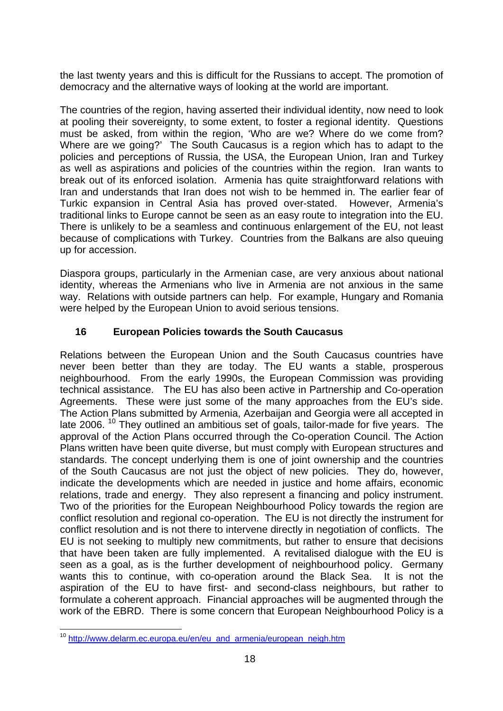the last twenty years and this is difficult for the Russians to accept. The promotion of democracy and the alternative ways of looking at the world are important.

The countries of the region, having asserted their individual identity, now need to look at pooling their sovereignty, to some extent, to foster a regional identity. Questions must be asked, from within the region, 'Who are we? Where do we come from? Where are we going?' The South Caucasus is a region which has to adapt to the policies and perceptions of Russia, the USA, the European Union, Iran and Turkey as well as aspirations and policies of the countries within the region. Iran wants to break out of its enforced isolation. Armenia has quite straightforward relations with Iran and understands that Iran does not wish to be hemmed in. The earlier fear of Turkic expansion in Central Asia has proved over-stated. However, Armenia's traditional links to Europe cannot be seen as an easy route to integration into the EU. There is unlikely to be a seamless and continuous enlargement of the EU, not least because of complications with Turkey. Countries from the Balkans are also queuing up for accession.

Diaspora groups, particularly in the Armenian case, are very anxious about national identity, whereas the Armenians who live in Armenia are not anxious in the same way. Relations with outside partners can help. For example, Hungary and Romania were helped by the European Union to avoid serious tensions.

# **16 European Policies towards the South Caucasus**

Relations between the European Union and the South Caucasus countries have never been better than they are today. The EU wants a stable, prosperous neighbourhood. From the early 1990s, the European Commission was providing technical assistance. The EU has also been active in Partnership and Co-operation Agreements. These were just some of the many approaches from the EU's side. The Action Plans submitted by Armenia, Azerbaijan and Georgia were all accepted in late 2006.<sup>10</sup> They outlined an ambitious set of goals, tailor-made for five years. The approval of the Action Plans occurred through the Co-operation Council. The Action Plans written have been quite diverse, but must comply with European structures and standards. The concept underlying them is one of joint ownership and the countries of the South Caucasus are not just the object of new policies. They do, however, indicate the developments which are needed in justice and home affairs, economic relations, trade and energy. They also represent a financing and policy instrument. Two of the priorities for the European Neighbourhood Policy towards the region are conflict resolution and regional co-operation. The EU is not directly the instrument for conflict resolution and is not there to intervene directly in negotiation of conflicts. The EU is not seeking to multiply new commitments, but rather to ensure that decisions that have been taken are fully implemented. A revitalised dialogue with the EU is seen as a goal, as is the further development of neighbourhood policy. Germany wants this to continue, with co-operation around the Black Sea. It is not the aspiration of the EU to have first- and second-class neighbours, but rather to formulate a coherent approach. Financial approaches will be augmented through the work of the EBRD. There is some concern that European Neighbourhood Policy is a

<span id="page-17-0"></span>l <sup>10</sup> [http://www.delarm.ec.europa.eu/en/eu\\_and\\_armenia/european\\_neigh.htm](http://www.delarm.ec.europa.eu/en/eu_and_armenia/european_neigh.htm)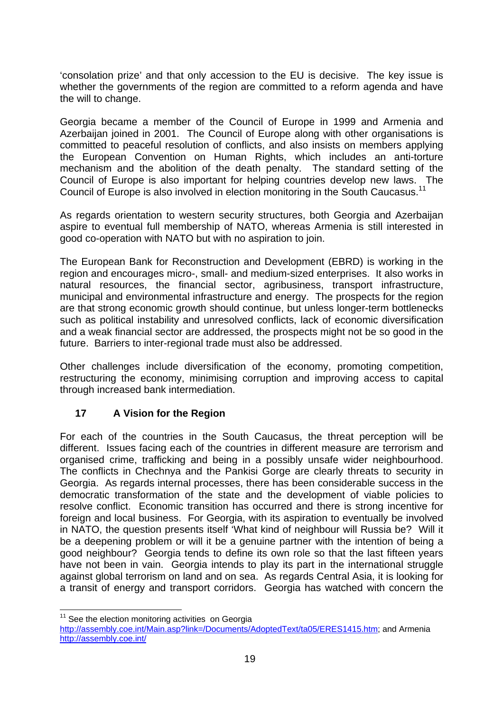'consolation prize' and that only accession to the EU is decisive. The key issue is whether the governments of the region are committed to a reform agenda and have the will to change.

Georgia became a member of the Council of Europe in 1999 and Armenia and Azerbaijan joined in 2001. The Council of Europe along with other organisations is committed to peaceful resolution of conflicts, and also insists on members applying the European Convention on Human Rights, which includes an anti-torture mechanism and the abolition of the death penalty. The standard setting of the Council of Europe is also important for helping countries develop new laws. The Council of Europe is also involved in election monitoring in the South Caucasus.<sup>11</sup>

As regards orientation to western security structures, both Georgia and Azerbaijan aspire to eventual full membership of NATO, whereas Armenia is still interested in good co-operation with NATO but with no aspiration to join.

The European Bank for Reconstruction and Development (EBRD) is working in the region and encourages micro-, small- and medium-sized enterprises. It also works in natural resources, the financial sector, agribusiness, transport infrastructure, municipal and environmental infrastructure and energy. The prospects for the region are that strong economic growth should continue, but unless longer-term bottlenecks such as political instability and unresolved conflicts, lack of economic diversification and a weak financial sector are addressed, the prospects might not be so good in the future. Barriers to inter-regional trade must also be addressed.

Other challenges include diversification of the economy, promoting competition, restructuring the economy, minimising corruption and improving access to capital through increased bank intermediation.

# **17 A Vision for the Region**

For each of the countries in the South Caucasus, the threat perception will be different. Issues facing each of the countries in different measure are terrorism and organised crime, trafficking and being in a possibly unsafe wider neighbourhood. The conflicts in Chechnya and the Pankisi Gorge are clearly threats to security in Georgia. As regards internal processes, there has been considerable success in the democratic transformation of the state and the development of viable policies to resolve conflict. Economic transition has occurred and there is strong incentive for foreign and local business. For Georgia, with its aspiration to eventually be involved in NATO, the question presents itself 'What kind of neighbour will Russia be? Will it be a deepening problem or will it be a genuine partner with the intention of being a good neighbour? Georgia tends to define its own role so that the last fifteen years have not been in vain. Georgia intends to play its part in the international struggle against global terrorism on land and on sea. As regards Central Asia, it is looking for a transit of energy and transport corridors. Georgia has watched with concern the

l  $11$  See the election monitoring activities on Georgia

<span id="page-18-0"></span>[http://assembly.coe.int/Main.asp?link=/Documents/AdoptedText/ta05/ERES1415.htm;](http://assembly.coe.int/Main.asp?link=/Documents/AdoptedText/ta05/ERES1415.htm) and Armenia <http://assembly.coe.int/>